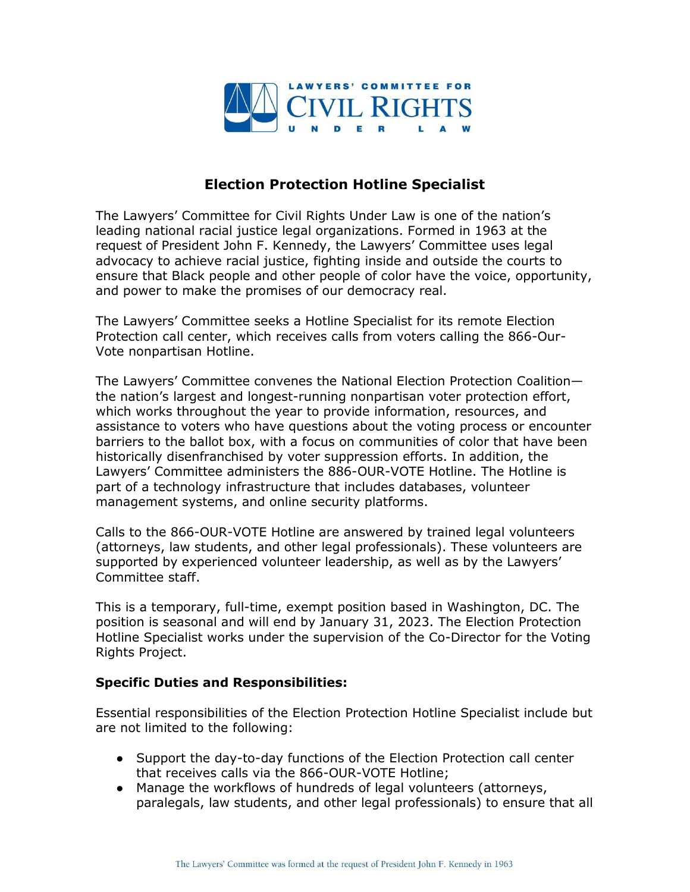

## **Election Protection Hotline Specialist**

The Lawyers' Committee for Civil Rights Under Law is one of the nation's leading national racial justice legal organizations. Formed in 1963 at the request of President John F. Kennedy, the Lawyers' Committee uses legal advocacy to achieve racial justice, fighting inside and outside the courts to ensure that Black people and other people of color have the voice, opportunity, and power to make the promises of our democracy real.

The Lawyers' Committee seeks a Hotline Specialist for its remote Election Protection call center, which receives calls from voters calling the 866-Our-Vote nonpartisan Hotline.

The Lawyers' Committee convenes the National Election Protection Coalition the nation's largest and longest-running nonpartisan voter protection effort, which works throughout the year to provide information, resources, and assistance to voters who have questions about the voting process or encounter barriers to the ballot box, with a focus on communities of color that have been historically disenfranchised by voter suppression efforts. In addition, the Lawyers' Committee administers the 886-OUR-VOTE Hotline. The Hotline is part of a technology infrastructure that includes databases, volunteer management systems, and online security platforms.

Calls to the 866-OUR-VOTE Hotline are answered by trained legal volunteers (attorneys, law students, and other legal professionals). These volunteers are supported by experienced volunteer leadership, as well as by the Lawyers' Committee staff.

This is a temporary, full-time, exempt position based in Washington, DC. The position is seasonal and will end by January 31, 2023. The Election Protection Hotline Specialist works under the supervision of the Co-Director for the Voting Rights Project.

## **Specific Duties and Responsibilities:**

Essential responsibilities of the Election Protection Hotline Specialist include but are not limited to the following:

- Support the day-to-day functions of the Election Protection call center that receives calls via the 866-OUR-VOTE Hotline;
- Manage the workflows of hundreds of legal volunteers (attorneys, paralegals, law students, and other legal professionals) to ensure that all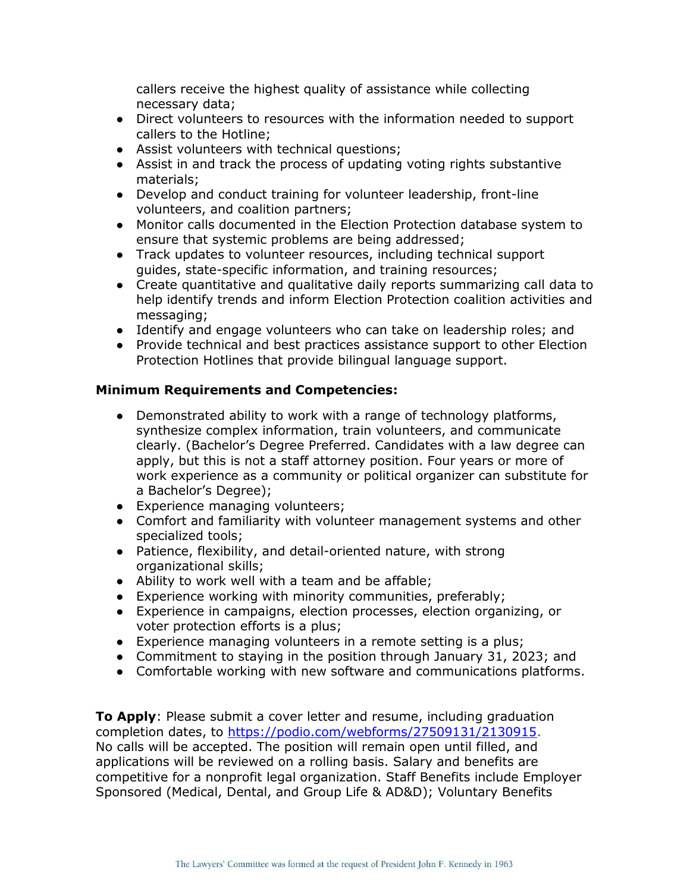callers receive the highest quality of assistance while collecting necessary data;

- Direct volunteers to resources with the information needed to support callers to the Hotline;
- Assist volunteers with technical questions;
- Assist in and track the process of updating voting rights substantive materials;
- Develop and conduct training for volunteer leadership, front-line volunteers, and coalition partners;
- Monitor calls documented in the Election Protection database system to ensure that systemic problems are being addressed;
- Track updates to volunteer resources, including technical support guides, state-specific information, and training resources;
- Create quantitative and qualitative daily reports summarizing call data to help identify trends and inform Election Protection coalition activities and messaging;
- Identify and engage volunteers who can take on leadership roles; and
- Provide technical and best practices assistance support to other Election Protection Hotlines that provide bilingual language support.

## **Minimum Requirements and Competencies:**

- Demonstrated ability to work with a range of technology platforms, synthesize complex information, train volunteers, and communicate clearly. (Bachelor's Degree Preferred. Candidates with a law degree can apply, but this is not a staff attorney position. Four years or more of work experience as a community or political organizer can substitute for a Bachelor's Degree);
- Experience managing volunteers;
- Comfort and familiarity with volunteer management systems and other specialized tools;
- Patience, flexibility, and detail-oriented nature, with strong organizational skills;
- Ability to work well with a team and be affable;
- Experience working with minority communities, preferably;
- Experience in campaigns, election processes, election organizing, or voter protection efforts is a plus;
- Experience managing volunteers in a remote setting is a plus;
- Commitment to staying in the position through January 31, 2023; and
- Comfortable working with new software and communications platforms.

**To Apply**: Please submit a cover letter and resume, including graduation completion dates, to [https://podio.com/webforms/27509131/2130915.](https://podio.com/webforms/27509131/2130915) No calls will be accepted. The position will remain open until filled, and applications will be reviewed on a rolling basis. Salary and benefits are competitive for a nonprofit legal organization. Staff Benefits include Employer Sponsored (Medical, Dental, and Group Life & AD&D); Voluntary Benefits